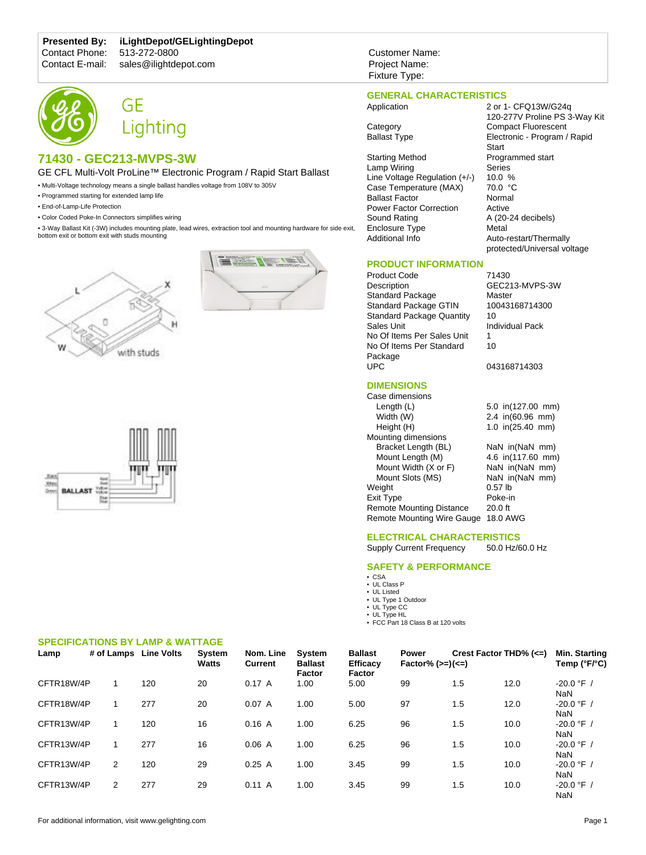### **Presented By: iLightDepot/GELightingDepot**

Contact Phone: 513-272-0800<br>Contact E-mail: sales@ilightde

sales@ilightdepot.com





# **71430 - GEC213-MVPS-3W**

GE CFL Multi-Volt ProLine™ Electronic Program / Rapid Start Ballast

- Multi-Voltage technology means a single ballast handles voltage from 108V to 305V
- Programmed starting for extended lamp life
- End-of-Lamp-Life Protection

**BALLAST** 

• Color Coded Poke-In Connectors simplifies wiring

• 3-Way Ballast Kit (-3W) includes mounting plate, lead wires, extraction tool and mounting hardware for side exit, bottom exit or bottom exit with studs mounting





Customer Name: Project Name: Fixture Type:

### **GENERAL CHARACTERISTICS**

Starting Method Programmed start Lamp Wiring Series<br>Line Voltage Regulation (+/-) 10.0 % Line Voltage Regulation (+/-) 10.0 %<br>Case Temperature (MAX) 70.0 °C Case Temperature (MAX) 70.0 °C<br>Ballast Factor 60 Normal **Ballast Factor** Power Factor Correction Active<br>Sound Rating A (20-2 Enclosure Type Additional Info **Auto-restart/Thermally** 

Application 2 or 1- CFQ13W/G24q 120-277V Proline PS 3-Way Kit Category Compact Fluorescent<br>
Ballast Type Electronic - Program / Electronic - Program / Rapid Start A (20-24 decibels)<br>Metal protected/Universal voltage

### **PRODUCT INFORMATION**

Product Code 71430<br>Description GEC2 Standard Package Master<br>Standard Package GTIN 10043168714300 Standard Package GTIN Standard Package Quantity 10<br>Sales Unit lnd No Of Items Per Sales Unit 1 No Of Items Per Standard Package<br>UPC

GEC213-MVPS-3W<br>Master Individual Pack 10

043168714303

| <b>DIMENSIONS</b> |  |  |  |  |  |  |
|-------------------|--|--|--|--|--|--|
|-------------------|--|--|--|--|--|--|

Case dimensions Length (L) 5.0 in(127.00 mm)<br>Width (W) 2.4 in(60.96 mm) Height (H) 1.0 in(25.40 mm) Mounting dimensions Bracket Length (BL) NaN in(NaN mm)<br>Mount Length (M) 4.6 in(117.60 mm) Mount Width (X or F) NaN in(NaN mm) Mount Slots (MS) NaN in(NaN mm)<br>
eight 0.57 lb Weight Exit Type <br>Remote Mounting Distance 20.0 ft Remote Mounting Distance Remote Mounting Wire Gauge 18.0 AWG

# $2.4 \text{ in} (60.96 \text{ mm})$ 4.6 in(117.60 mm)

**ELECTRICAL CHARACTERISTICS** Supply Current Frequency

- **SAFETY & PERFORMANCE**
- CSA UL Class P
- 
- UL Listed UL Type 1 Outdoor
- UL Type CC

• UL Type HL • FCC Part 18 Class B at 120 volts

| Lamp       | # of Lamps     | <b>Line Volts</b> | <b>System</b><br><b>Watts</b> | Nom. Line<br><b>Current</b> | <b>System</b><br><b>Ballast</b><br>Factor | <b>Ballast</b><br>Efficacy<br><b>Factor</b> | <b>Power</b><br>$Factor% (> =)(<=)$ |     | Crest Factor THD% $(\leq)$ | Min. Starting<br>Temp (°F/°C) |
|------------|----------------|-------------------|-------------------------------|-----------------------------|-------------------------------------------|---------------------------------------------|-------------------------------------|-----|----------------------------|-------------------------------|
| CFTR18W/4P |                | 120               | 20                            | 0.17A                       | 1.00                                      | 5.00                                        | 99                                  | 1.5 | 12.0                       | $-20.0$ °F /<br>NaN           |
| CFTR18W/4P |                | 277               | 20                            | 0.07A                       | 1.00                                      | 5.00                                        | 97                                  | 1.5 | 12.0                       | $-20.0$ °F /<br>NaN           |
| CFTR13W/4P |                | 120               | 16                            | 0.16A                       | 1.00                                      | 6.25                                        | 96                                  | 1.5 | 10.0                       | $-20.0$ °F /<br>NaN           |
| CFTR13W/4P |                | 277               | 16                            | 0.06A                       | 1.00                                      | 6.25                                        | 96                                  | 1.5 | 10.0                       | $-20.0$ °F /<br>NaN           |
| CFTR13W/4P | $\overline{2}$ | 120               | 29                            | 0.25A                       | 1.00                                      | 3.45                                        | 99                                  | 1.5 | 10.0                       | $-20.0$ °F /<br>NaN           |
| CFTR13W/4P | $\overline{2}$ | 277               | 29                            | 0.11 A                      | 1.00                                      | 3.45                                        | 99                                  | 1.5 | 10.0                       | $-20.0$ °F /<br>NaN           |

## **SPECIFICATIONS BY LAMP & WATTAGE**